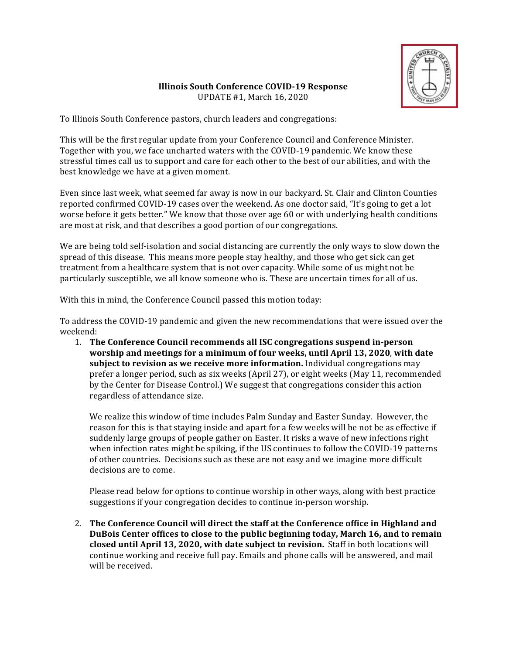

## **Illinois South Conference COVID-19 Response** UPDATE #1, March 16, 2020

To Illinois South Conference pastors, church leaders and congregations:

This will be the first regular update from your Conference Council and Conference Minister. Together with you, we face uncharted waters with the COVID-19 pandemic. We know these stressful times call us to support and care for each other to the best of our abilities, and with the best knowledge we have at a given moment.

Even since last week, what seemed far away is now in our backyard. St. Clair and Clinton Counties reported confirmed COVID-19 cases over the weekend. As one doctor said, "It's going to get a lot worse before it gets better." We know that those over age 60 or with underlying health conditions are most at risk, and that describes a good portion of our congregations.

We are being told self-isolation and social distancing are currently the only ways to slow down the spread of this disease. This means more people stay healthy, and those who get sick can get treatment from a healthcare system that is not over capacity. While some of us might not be particularly susceptible, we all know someone who is. These are uncertain times for all of us.

With this in mind, the Conference Council passed this motion today:

To address the COVID-19 pandemic and given the new recommendations that were issued over the weekend:

1. The Conference Council recommends all ISC congregations suspend in-person **worship and meetings for a minimum of four weeks, until April 13, 2020, with date subject to revision as we receive more information.** Individual congregations may prefer a longer period, such as six weeks (April 27), or eight weeks (May 11, recommended by the Center for Disease Control.) We suggest that congregations consider this action regardless of attendance size.

We realize this window of time includes Palm Sunday and Easter Sunday. However, the reason for this is that staying inside and apart for a few weeks will be not be as effective if suddenly large groups of people gather on Easter. It risks a wave of new infections right when infection rates might be spiking, if the US continues to follow the COVID-19 patterns of other countries. Decisions such as these are not easy and we imagine more difficult decisions are to come.

Please read below for options to continue worship in other ways, along with best practice suggestions if your congregation decides to continue in-person worship.

2. The Conference Council will direct the staff at the Conference office in Highland and **DuBois Center offices to close to the public beginning today, March 16, and to remain closed until April 13, 2020, with date subject to revision.** Staff in both locations will continue working and receive full pay. Emails and phone calls will be answered, and mail will be received.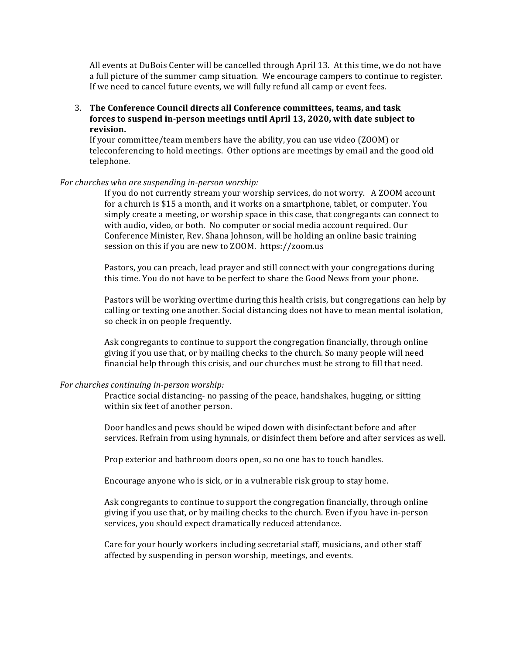All events at DuBois Center will be cancelled through April 13. At this time, we do not have a full picture of the summer camp situation. We encourage campers to continue to register. If we need to cancel future events, we will fully refund all camp or event fees.

3. The Conference Council directs all Conference committees, teams, and task forces to suspend in-person meetings until April 13, 2020, with date subject to **revision.**

If your committee/team members have the ability, you can use video (ZOOM) or teleconferencing to hold meetings. Other options are meetings by email and the good old telephone. 

## *For churches who are suspending in-person worship:*

If you do not currently stream your worship services, do not worry. A ZOOM account for a church is \$15 a month, and it works on a smartphone, tablet, or computer. You simply create a meeting, or worship space in this case, that congregants can connect to with audio, video, or both. No computer or social media account required. Our Conference Minister, Rev. Shana Johnson, will be holding an online basic training session on this if you are new to ZOOM. https://zoom.us

Pastors, you can preach, lead prayer and still connect with your congregations during this time. You do not have to be perfect to share the Good News from your phone.

Pastors will be working overtime during this health crisis, but congregations can help by calling or texting one another. Social distancing does not have to mean mental isolation, so check in on people frequently.

Ask congregants to continue to support the congregation financially, through online giving if you use that, or by mailing checks to the church. So many people will need financial help through this crisis, and our churches must be strong to fill that need.

## *For churches continuing in-person worship:*

Practice social distancing- no passing of the peace, handshakes, hugging, or sitting within six feet of another person.

Door handles and pews should be wiped down with disinfectant before and after services. Refrain from using hymnals, or disinfect them before and after services as well.

Prop exterior and bathroom doors open, so no one has to touch handles.

Encourage anyone who is sick, or in a vulnerable risk group to stay home.

Ask congregants to continue to support the congregation financially, through online giving if you use that, or by mailing checks to the church. Even if you have in-person services, you should expect dramatically reduced attendance.

Care for your hourly workers including secretarial staff, musicians, and other staff affected by suspending in person worship, meetings, and events.